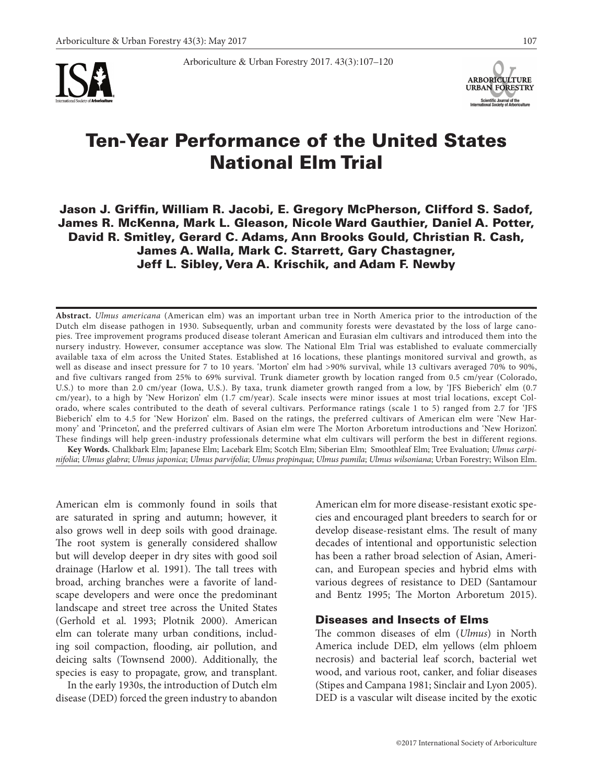

Arboriculture & Urban Forestry 2017. 43(3):107–120



# Ten-Year Performance of the United States National Elm Trial

Jason J. Griffin, William R. Jacobi, E. Gregory McPherson, Clifford S. Sadof, James R. McKenna, Mark L. Gleason, Nicole Ward Gauthier, Daniel A. Potter, David R. Smitley, Gerard C. Adams, Ann Brooks Gould, Christian R. Cash, James A. Walla, Mark C. Starrett, Gary Chastagner, Jeff L. Sibley, Vera A. Krischik, and Adam F. Newby

**Abstract.** *Ulmus americana* (American elm) was an important urban tree in North America prior to the introduction of the Dutch elm disease pathogen in 1930. Subsequently, urban and community forests were devastated by the loss of large canopies. Tree improvement programs produced disease tolerant American and Eurasian elm cultivars and introduced them into the nursery industry. However, consumer acceptance was slow. The National Elm Trial was established to evaluate commercially available taxa of elm across the United States. Established at 16 locations, these plantings monitored survival and growth, as well as disease and insect pressure for 7 to 10 years. 'Morton' elm had >90% survival, while 13 cultivars averaged 70% to 90%, and five cultivars ranged from 25% to 69% survival. Trunk diameter growth by location ranged from 0.5 cm/year (Colorado, U.S.) to more than 2.0 cm/year (Iowa, U.S.). By taxa, trunk diameter growth ranged from a low, by 'JFS Bieberich' elm (0.7 cm/year), to a high by 'New Horizon' elm (1.7 cm/year). Scale insects were minor issues at most trial locations, except Colorado, where scales contributed to the death of several cultivars. Performance ratings (scale 1 to 5) ranged from 2.7 for 'JFS Bieberich' elm to 4.5 for 'New Horizon' elm. Based on the ratings, the preferred cultivars of American elm were 'New Harmony' and 'Princeton', and the preferred cultivars of Asian elm were The Morton Arboretum introductions and 'New Horizon'. These findings will help green-industry professionals determine what elm cultivars will perform the best in different regions.

**Key Words.** Chalkbark Elm; Japanese Elm; Lacebark Elm; Scotch Elm; Siberian Elm; Smoothleaf Elm; Tree Evaluation; *Ulmus carpinifolia*; *Ulmus glabra*; *Ulmus japonica*; *Ulmus parvifolia*; *Ulmus propinqua*; *Ulmus pumila*; *Ulmus wilsoniana*; Urban Forestry; Wilson Elm.

American elm is commonly found in soils that are saturated in spring and autumn; however, it also grows well in deep soils with good drainage. The root system is generally considered shallow but will develop deeper in dry sites with good soil drainage (Harlow et al. 1991). The tall trees with broad, arching branches were a favorite of landscape developers and were once the predominant landscape and street tree across the United States (Gerhold et al. 1993; Plotnik 2000). American elm can tolerate many urban conditions, including soil compaction, flooding, air pollution, and deicing salts (Townsend 2000). Additionally, the species is easy to propagate, grow, and transplant.

In the early 1930s, the introduction of Dutch elm disease (DED) forced the green industry to abandon American elm for more disease-resistant exotic species and encouraged plant breeders to search for or develop disease-resistant elms. The result of many decades of intentional and opportunistic selection has been a rather broad selection of Asian, American, and European species and hybrid elms with various degrees of resistance to DED (Santamour and Bentz 1995; The Morton Arboretum 2015).

## Diseases and Insects of Elms

The common diseases of elm (*Ulmus*) in North America include DED, elm yellows (elm phloem necrosis) and bacterial leaf scorch, bacterial wet wood, and various root, canker, and foliar diseases (Stipes and Campana 1981; Sinclair and Lyon 2005). DED is a vascular wilt disease incited by the exotic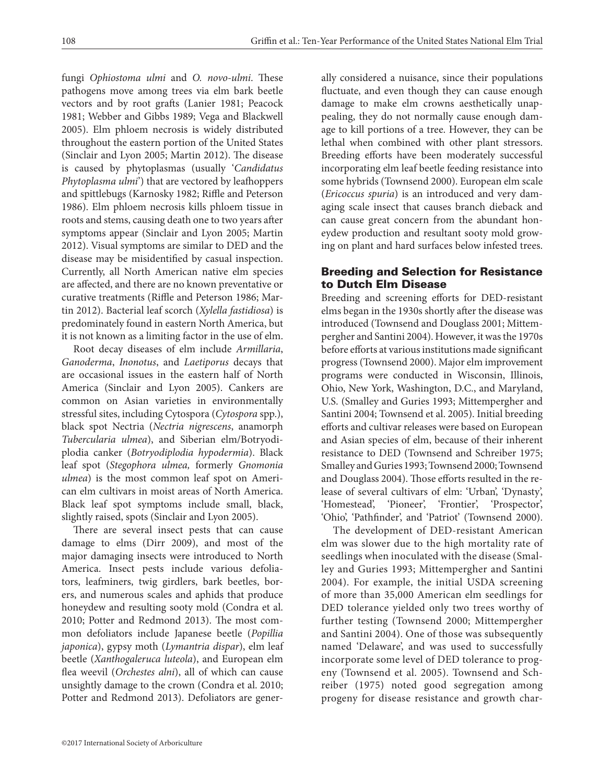fungi *Ophiostoma ulmi* and *O. novo-ulmi*. These pathogens move among trees via elm bark beetle vectors and by root grafts (Lanier 1981; Peacock 1981; Webber and Gibbs 1989; Vega and Blackwell 2005). Elm phloem necrosis is widely distributed throughout the eastern portion of the United States (Sinclair and Lyon 2005; Martin 2012). The disease is caused by phytoplasmas (usually '*Candidatus Phytoplasma ulmi*') that are vectored by leafhoppers and spittlebugs (Karnosky 1982; Riffle and Peterson 1986). Elm phloem necrosis kills phloem tissue in roots and stems, causing death one to two years after symptoms appear (Sinclair and Lyon 2005; Martin 2012). Visual symptoms are similar to DED and the disease may be misidentified by casual inspection. Currently, all North American native elm species are affected, and there are no known preventative or curative treatments (Riffle and Peterson 1986; Martin 2012). Bacterial leaf scorch (*Xylella fastidiosa*) is predominately found in eastern North America, but it is not known as a limiting factor in the use of elm.

Root decay diseases of elm include *Armillaria*, *Ganoderma*, *Inonotus*, and *Laetiporus* decays that are occasional issues in the eastern half of North America (Sinclair and Lyon 2005). Cankers are common on Asian varieties in environmentally stressful sites, including Cytospora (*Cytospora* spp.), black spot Nectria (*Nectria nigrescens*, anamorph *Tubercularia ulmea*), and Siberian elm/Botryodiplodia canker (*Botryodiplodia hypodermia*). Black leaf spot (*Stegophora ulmea,* formerly *Gnomonia ulmea*) is the most common leaf spot on American elm cultivars in moist areas of North America. Black leaf spot symptoms include small, black, slightly raised, spots (Sinclair and Lyon 2005).

There are several insect pests that can cause damage to elms (Dirr 2009), and most of the major damaging insects were introduced to North America. Insect pests include various defoliators, leafminers, twig girdlers, bark beetles, borers, and numerous scales and aphids that produce honeydew and resulting sooty mold (Condra et al. 2010; Potter and Redmond 2013). The most common defoliators include Japanese beetle (*Popillia japonica*), gypsy moth (*Lymantria dispar*), elm leaf beetle (*Xanthogaleruca luteola*), and European elm flea weevil (*Orchestes alni*), all of which can cause unsightly damage to the crown (Condra et al. 2010; Potter and Redmond 2013). Defoliators are generally considered a nuisance, since their populations fluctuate, and even though they can cause enough damage to make elm crowns aesthetically unappealing, they do not normally cause enough damage to kill portions of a tree. However, they can be lethal when combined with other plant stressors. Breeding efforts have been moderately successful incorporating elm leaf beetle feeding resistance into some hybrids (Townsend 2000). European elm scale (*Ericoccus spuria*) is an introduced and very damaging scale insect that causes branch dieback and can cause great concern from the abundant honeydew production and resultant sooty mold growing on plant and hard surfaces below infested trees.

# Breeding and Selection for Resistance to Dutch Elm Disease

Breeding and screening efforts for DED-resistant elms began in the 1930s shortly after the disease was introduced (Townsend and Douglass 2001; Mittempergher and Santini 2004). However, it was the 1970s before efforts at various institutions made significant progress (Townsend 2000). Major elm improvement programs were conducted in Wisconsin, Illinois, Ohio, New York, Washington, D.C., and Maryland, U.S. (Smalley and Guries 1993; Mittempergher and Santini 2004; Townsend et al. 2005). Initial breeding efforts and cultivar releases were based on European and Asian species of elm, because of their inherent resistance to DED (Townsend and Schreiber 1975; Smalley and Guries 1993; Townsend 2000; Townsend and Douglass 2004). Those efforts resulted in the release of several cultivars of elm: 'Urban', 'Dynasty', 'Homestead', 'Pioneer', 'Frontier', 'Prospector', 'Ohio', 'Pathfinder', and 'Patriot' (Townsend 2000).

The development of DED-resistant American elm was slower due to the high mortality rate of seedlings when inoculated with the disease (Smalley and Guries 1993; Mittempergher and Santini 2004). For example, the initial USDA screening of more than 35,000 American elm seedlings for DED tolerance yielded only two trees worthy of further testing (Townsend 2000; Mittempergher and Santini 2004). One of those was subsequently named 'Delaware', and was used to successfully incorporate some level of DED tolerance to progeny (Townsend et al. 2005). Townsend and Schreiber (1975) noted good segregation among progeny for disease resistance and growth char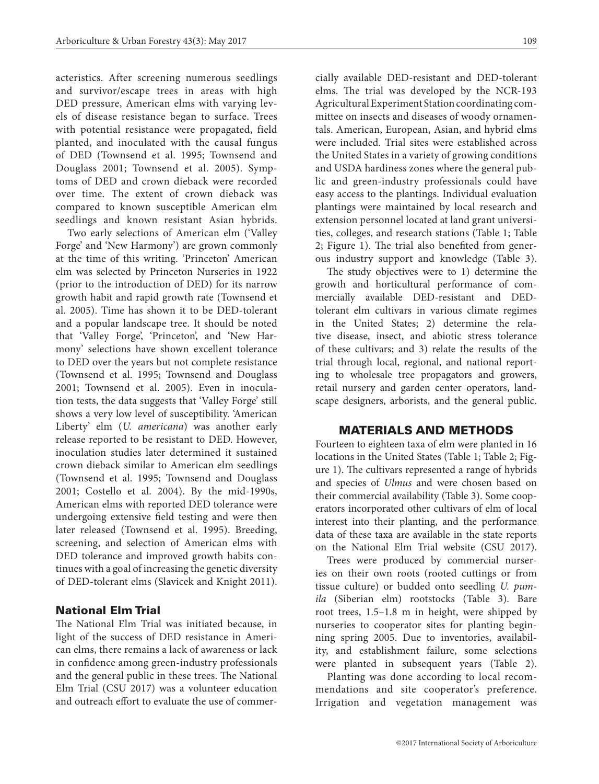acteristics. After screening numerous seedlings and survivor/escape trees in areas with high DED pressure, American elms with varying levels of disease resistance began to surface. Trees with potential resistance were propagated, field planted, and inoculated with the causal fungus of DED (Townsend et al. 1995; Townsend and Douglass 2001; Townsend et al. 2005). Symptoms of DED and crown dieback were recorded over time. The extent of crown dieback was compared to known susceptible American elm seedlings and known resistant Asian hybrids.

Two early selections of American elm ('Valley Forge' and 'New Harmony') are grown commonly at the time of this writing. 'Princeton' American elm was selected by Princeton Nurseries in 1922 (prior to the introduction of DED) for its narrow growth habit and rapid growth rate (Townsend et al. 2005). Time has shown it to be DED-tolerant and a popular landscape tree. It should be noted that 'Valley Forge', 'Princeton', and 'New Harmony' selections have shown excellent tolerance to DED over the years but not complete resistance (Townsend et al. 1995; Townsend and Douglass 2001; Townsend et al. 2005). Even in inoculation tests, the data suggests that 'Valley Forge' still shows a very low level of susceptibility. 'American Liberty' elm (*U. americana*) was another early release reported to be resistant to DED. However, inoculation studies later determined it sustained crown dieback similar to American elm seedlings (Townsend et al. 1995; Townsend and Douglass 2001; Costello et al. 2004). By the mid-1990s, American elms with reported DED tolerance were undergoing extensive field testing and were then later released (Townsend et al. 1995). Breeding, screening, and selection of American elms with DED tolerance and improved growth habits continues with a goal of increasing the genetic diversity of DED-tolerant elms (Slavicek and Knight 2011).

# National Elm Trial

The National Elm Trial was initiated because, in light of the success of DED resistance in American elms, there remains a lack of awareness or lack in confidence among green-industry professionals and the general public in these trees. The National Elm Trial (CSU 2017) was a volunteer education and outreach effort to evaluate the use of commercially available DED-resistant and DED-tolerant elms. The trial was developed by the NCR-193 Agricultural Experiment Station coordinating committee on insects and diseases of woody ornamentals. American, European, Asian, and hybrid elms were included. Trial sites were established across the United States in a variety of growing conditions and USDA hardiness zones where the general public and green-industry professionals could have easy access to the plantings. Individual evaluation plantings were maintained by local research and extension personnel located at land grant universities, colleges, and research stations (Table 1; Table 2; Figure 1). The trial also benefited from generous industry support and knowledge (Table 3).

The study objectives were to 1) determine the growth and horticultural performance of commercially available DED-resistant and DEDtolerant elm cultivars in various climate regimes in the United States; 2) determine the relative disease, insect, and abiotic stress tolerance of these cultivars; and 3) relate the results of the trial through local, regional, and national reporting to wholesale tree propagators and growers, retail nursery and garden center operators, landscape designers, arborists, and the general public.

## MATERIALS AND METHODS

Fourteen to eighteen taxa of elm were planted in 16 locations in the United States (Table 1; Table 2; Figure 1). The cultivars represented a range of hybrids and species of *Ulmus* and were chosen based on their commercial availability (Table 3). Some cooperators incorporated other cultivars of elm of local interest into their planting, and the performance data of these taxa are available in the state reports on the National Elm Trial website (CSU 2017).

Trees were produced by commercial nurseries on their own roots (rooted cuttings or from tissue culture) or budded onto seedling *U. pumila* (Siberian elm) rootstocks (Table 3). Bare root trees, 1.5–1.8 m in height, were shipped by nurseries to cooperator sites for planting beginning spring 2005. Due to inventories, availability, and establishment failure, some selections were planted in subsequent years (Table 2).

Planting was done according to local recommendations and site cooperator's preference. Irrigation and vegetation management was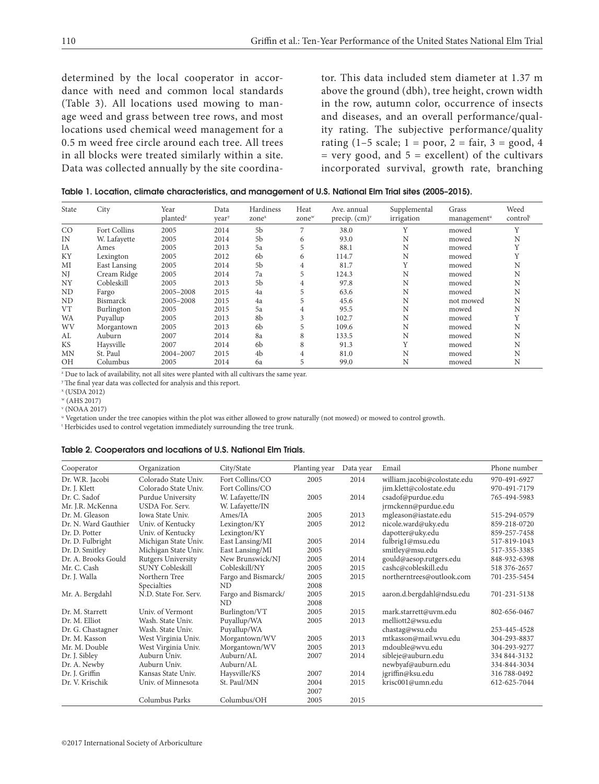determined by the local cooperator in accordance with need and common local standards (Table 3). All locations used mowing to manage weed and grass between tree rows, and most locations used chemical weed management for a 0.5 m weed free circle around each tree. All trees in all blocks were treated similarly within a site. Data was collected annually by the site coordina-

tor. This data included stem diameter at 1.37 m above the ground (dbh), tree height, crown width in the row, autumn color, occurrence of insects and diseases, and an overall performance/quality rating. The subjective performance/quality rating  $(1-5 \text{ scale}; 1 = \text{poor}, 2 = \text{fair}, 3 = \text{good}, 4$  $=$  very good, and  $5 =$  excellent) of the cultivars incorporated survival, growth rate, branching

| Table 1. Location, climate characteristics, and management of U.S. National Elm Trial sites (2005-2015). |  |  |  |  |  |  |  |  |  |  |
|----------------------------------------------------------------------------------------------------------|--|--|--|--|--|--|--|--|--|--|
|----------------------------------------------------------------------------------------------------------|--|--|--|--|--|--|--|--|--|--|

| State     | City            | Year<br>planted <sup>2</sup> | Data<br>vear <sup>y</sup> | Hardiness<br>zone <sup>x</sup> | Heat<br>zone <sup>w</sup> | Ave. annual<br>precip. $(cm)^{\nu}$ | Supplemental<br>irrigation | Grass<br>management <sup>u</sup> | Weed<br>control |
|-----------|-----------------|------------------------------|---------------------------|--------------------------------|---------------------------|-------------------------------------|----------------------------|----------------------------------|-----------------|
| CO        | Fort Collins    | 2005                         | 2014                      | 5 <sub>b</sub>                 | 7                         | 38.0                                | Y                          | mowed                            | $\mathbf{v}$    |
| IN        | W. Lafayette    | 2005                         | 2014                      | 5 <sub>b</sub>                 | 6                         | 93.0                                | N                          | mowed                            | N               |
| IA        | Ames            | 2005                         | 2013                      | 5a                             | 5                         | 88.1                                | N                          | mowed                            |                 |
| ΚY        | Lexington       | 2005                         | 2012                      | 6b                             | 6                         | 114.7                               | N                          | mowed                            |                 |
| MI        | East Lansing    | 2005                         | 2014                      | 5 <sub>b</sub>                 | 4                         | 81.7                                | Y                          | mowed                            | N               |
| NJ        | Cream Ridge     | 2005                         | 2014                      | 7a                             | 5                         | 124.3                               | N                          | mowed                            | N               |
| NY        | Cobleskill      | 2005                         | 2013                      | 5 <sub>b</sub>                 | 4                         | 97.8                                | N                          | mowed                            | N               |
| ND        | Fargo           | 2005-2008                    | 2015                      | 4a                             | 5                         | 63.6                                | N                          | mowed                            | N               |
| ND        | <b>Bismarck</b> | 2005-2008                    | 2015                      | 4a                             |                           | 45.6                                | N                          | not mowed                        | N               |
| VT        | Burlington      | 2005                         | 2015                      | 5a                             | 4                         | 95.5                                | N                          | mowed                            | N               |
| WA        | Puyallup        | 2005                         | 2013                      | 8b                             | 3                         | 102.7                               | N                          | mowed                            |                 |
| WV        | Morgantown      | 2005                         | 2013                      | 6b                             | 5                         | 109.6                               | N                          | mowed                            | N               |
| AL        | Auburn          | 2007                         | 2014                      | 8a                             | 8                         | 133.5                               | N                          | mowed                            | N               |
| <b>KS</b> | Haysville       | 2007                         | 2014                      | 6b                             | 8                         | 91.3                                |                            | mowed                            | N               |
| <b>MN</b> | St. Paul        | 2004-2007                    | 2015                      | 4b                             | 4                         | 81.0                                | N                          | mowed                            | N               |
| <b>OH</b> | Columbus        | 2005                         | 2014                      | 6a                             | 5                         | 99.0                                | N                          | mowed                            | N               |

<sup>2</sup> Due to lack of availability, not all sites were planted with all cultivars the same year.

y The final year data was collected for analysis and this report.

x (USDA 2012)

w (AHS 2017)

v (NOAA 2017)

u Vegetation under the tree canopies within the plot was either allowed to grow naturally (not mowed) or mowed to control growth.

t Herbicides used to control vegetation immediately surrounding the tree trunk.

#### Table 2. Cooperators and locations of U.S. National Elm Trials.

| Cooperator           | Organization              | City/State          | Planting year | Data year | Email                        | Phone number |
|----------------------|---------------------------|---------------------|---------------|-----------|------------------------------|--------------|
| Dr. W.R. Jacobi      | Colorado State Univ.      | Fort Collins/CO     | 2005          | 2014      | william.jacobi@colostate.edu | 970-491-6927 |
| Dr. J. Klett         | Colorado State Univ.      | Fort Collins/CO     |               |           | jim.klett@colostate.edu      | 970-491-7179 |
| Dr. C. Sadof         | Purdue University         | W. Lafayette/IN     | 2005          | 2014      | csadof@purdue.edu            | 765-494-5983 |
| Mr. J.R. McKenna     | <b>USDA For. Serv.</b>    | W. Lafayette/IN     |               |           | jrmckenn@purdue.edu          |              |
| Dr. M. Gleason       | <b>Iowa State Univ.</b>   | Ames/IA             | 2005          | 2013      | mgleason@iastate.edu         | 515-294-0579 |
| Dr. N. Ward Gauthier | Univ. of Kentucky         | Lexington/KY        | 2005          | 2012      | nicole.ward@uky.edu          | 859-218-0720 |
| Dr. D. Potter        | Univ. of Kentucky         | Lexington/KY        |               |           | dapotter@uky.edu             | 859-257-7458 |
| Dr. D. Fulbright     | Michigan State Univ.      | East Lansing/MI     | 2005          | 2014      | fulbrig1@msu.edu             | 517-819-1043 |
| Dr. D. Smitley       | Michigan State Univ.      | East Lansing/MI     | 2005          |           | smitley@msu.edu              | 517-355-3385 |
| Dr. A. Brooks Gould  | <b>Rutgers University</b> | New Brunswick/NJ    | 2005          | 2014      | gould@aesop.rutgers.edu      | 848-932-6398 |
| Mr. C. Cash          | <b>SUNY Cobleskill</b>    | Cobleskill/NY       | 2005          | 2015      | cashc@cobleskill.edu         | 518 376-2657 |
| Dr. J. Walla         | Northern Tree             | Fargo and Bismarck/ | 2005          | 2015      | northerntrees@outlook.com    | 701-235-5454 |
|                      | Specialties               | <b>ND</b>           | 2008          |           |                              |              |
| Mr. A. Bergdahl      | N.D. State For. Serv.     | Fargo and Bismarck/ | 2005          | 2015      | aaron.d.bergdahl@ndsu.edu    | 701-231-5138 |
|                      |                           | ND.                 | 2008          |           |                              |              |
| Dr. M. Starrett      | Univ. of Vermont          | Burlington/VT       | 2005          | 2015      | mark.starrett@uvm.edu        | 802-656-0467 |
| Dr. M. Elliot        | Wash, State Univ.         | Puyallup/WA         | 2005          | 2013      | melliott2@wsu.edu            |              |
| Dr. G. Chastagner    | Wash. State Univ.         | Puyallup/WA         |               |           | chastag@wsu.edu              | 253-445-4528 |
| Dr. M. Kasson        | West Virginia Univ.       | Morgantown/WV       | 2005          | 2013      | mtkasson@mail.wvu.edu        | 304-293-8837 |
| Mr. M. Double        | West Virginia Univ.       | Morgantown/WV       | 2005          | 2013      | mdouble@wvu.edu              | 304-293-9277 |
| Dr. J. Sibley        | Auburn Univ.              | Auburn/AL           | 2007          | 2014      | sibleje@auburn.edu           | 334 844-3132 |
| Dr. A. Newby         | Auburn Univ.              | Auburn/AL           |               |           | newbyaf@auburn.edu           | 334-844-3034 |
| Dr. J. Griffin       | Kansas State Univ.        | Haysville/KS        | 2007          | 2014      | jgriffin@ksu.edu             | 316 788-0492 |
| Dr. V. Krischik      | Univ. of Minnesota        | St. Paul/MN         | 2004          | 2015      | krisc001@umn.edu             | 612-625-7044 |
|                      |                           |                     | 2007          |           |                              |              |
|                      | Columbus Parks            | Columbus/OH         | 2005          | 2015      |                              |              |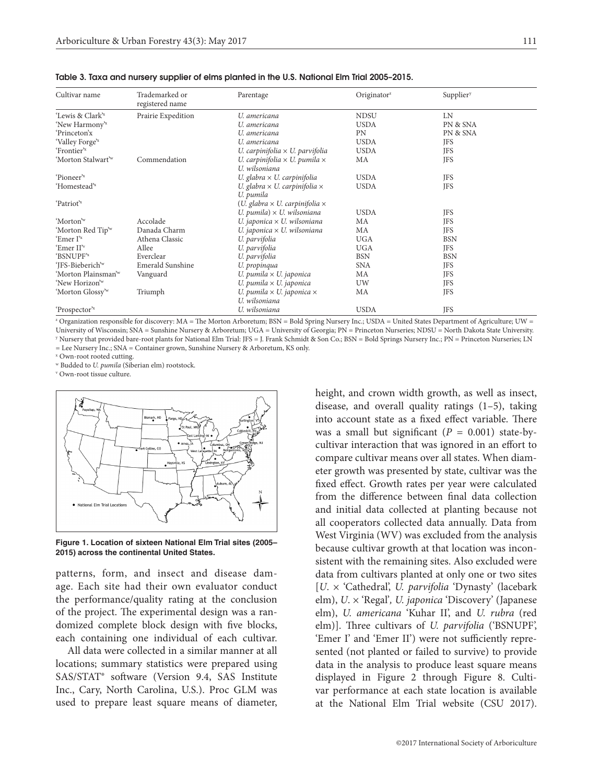| Cultivar name                   | Trademarked or<br>registered name | Parentage                                                    | Originator <sup>2</sup> | Supplier <sup>y</sup> |  |
|---------------------------------|-----------------------------------|--------------------------------------------------------------|-------------------------|-----------------------|--|
| 'Lewis & Clark <sup>'x</sup>    | Prairie Expedition                | U. americana                                                 | <b>NDSU</b>             | <b>LN</b>             |  |
| 'New Harmony' <sup>x</sup>      |                                   | U. americana                                                 | <b>USDA</b>             | PN & SNA              |  |
| 'Princeton'x                    |                                   | U. americana                                                 | PN                      | PN & SNA              |  |
| 'Valley Forge' <sup>x</sup>     |                                   | U. americana                                                 | <b>USDA</b>             | <b>JFS</b>            |  |
| 'Frontier' <sup>x</sup>         |                                   | U. carpinifolia $\times$ U. parvifolia                       | <b>USDA</b>             | <b>JFS</b>            |  |
| 'Morton Stalwart' <sup>w</sup>  | Commendation                      | U. carpinifolia $\times$ U. pumila $\times$<br>U. wilsoniana | MA                      | <b>JFS</b>            |  |
| 'Pioneer' <sup>x</sup>          |                                   | U. glabra $\times$ U. carpinifolia                           | <b>USDA</b>             | <b>JFS</b>            |  |
| 'Homestead' <sup>x</sup>        |                                   | U. glabra $\times$ U. carpinifolia $\times$<br>U. pumila     | <b>USDA</b>             | <b>JFS</b>            |  |
| 'Patriot' <sup>x</sup>          |                                   | $(U.$ glabra $\times U.$ carpinifolia $\times$               |                         |                       |  |
|                                 |                                   | U. pumila) $\times$ U. wilsoniana                            | <b>USDA</b>             | <b>JFS</b>            |  |
| 'Morton' <sup>w</sup>           | Accolade                          | U. japonica $\times$ U. wilsoniana                           | MA                      | <b>JFS</b>            |  |
| 'Morton Red Tip' <sup>w</sup>   | Danada Charm                      | U. japonica $\times$ U. wilsoniana                           | MA                      | <b>JFS</b>            |  |
| 'Emer I' <sup>x</sup>           | Athena Classic                    | U. parvifolia                                                | <b>UGA</b>              | <b>BSN</b>            |  |
| 'Emer II'v                      | Allee                             | U. parvifolia                                                | <b>UGA</b>              | <b>JFS</b>            |  |
| 'BSNUPF'x                       | Everclear                         | U. parvifolia                                                | <b>BSN</b>              | <b>BSN</b>            |  |
| 'JFS-Bieberich' <sup>w</sup>    | Emerald Sunshine                  | U. propinqua                                                 | <b>SNA</b>              | <b>JFS</b>            |  |
| 'Morton Plainsman' <sup>w</sup> | Vanguard                          | U. pumila $\times$ U. japonica                               | МA                      | <b>JFS</b>            |  |
| 'New Horizon' <sup>w</sup>      |                                   | U. pumila $\times$ U. japonica                               | UW                      | JFS                   |  |
| 'Morton Glossy'w                | Triumph                           | U. pumila $\times$ U. japonica $\times$                      | MA                      | <b>JFS</b>            |  |
|                                 |                                   | U. wilsoniana                                                |                         |                       |  |
| 'Prospector' <sup>x</sup>       |                                   | U. wilsoniana                                                | <b>USDA</b>             | JFS                   |  |

Table 3. Taxa and nursery supplier of elms planted in the U.S. National Elm Trial 2005–2015.

z Organization responsible for discovery: MA = The Morton Arboretum; BSN = Bold Spring Nursery Inc.; USDA = United States Department of Agriculture; UW = University of Wisconsin; SNA = Sunshine Nursery & Arboretum; UGA = University of Georgia; PN = Princeton Nurseries; NDSU = North Dakota State University. y Nursery that provided bare-root plants for National Elm Trial: JFS = J. Frank Schmidt & Son Co.; BSN = Bold Springs Nursery Inc.; PN = Princeton Nurseries; LN = Lee Nursery Inc.; SNA = Container grown, Sunshine Nursery & Arboretum, KS only.

x Own-root rooted cutting.

w Budded to *U. pumila* (Siberian elm) rootstock.

v Own-root tissue culture.



**Figure 1. Location of sixteen National Elm Trial sites (2005– 2015) across the continental United States.**

patterns, form, and insect and disease damage. Each site had their own evaluator conduct the performance/quality rating at the conclusion of the project. The experimental design was a randomized complete block design with five blocks, each containing one individual of each cultivar.

All data were collected in a similar manner at all locations; summary statistics were prepared using SAS/STAT® software (Version 9.4, SAS Institute Inc., Cary, North Carolina, U.S.). Proc GLM was used to prepare least square means of diameter, height, and crown width growth, as well as insect, disease, and overall quality ratings (1–5), taking into account state as a fixed effect variable. There was a small but significant  $(P = 0.001)$  state-bycultivar interaction that was ignored in an effort to compare cultivar means over all states. When diameter growth was presented by state, cultivar was the fixed effect. Growth rates per year were calculated from the difference between final data collection and initial data collected at planting because not all cooperators collected data annually. Data from West Virginia (WV) was excluded from the analysis because cultivar growth at that location was inconsistent with the remaining sites. Also excluded were data from cultivars planted at only one or two sites [*U*. × 'Cathedral', *U. parvifolia* 'Dynasty' (lacebark elm), *U*. × 'Regal'*, U. japonica* 'Discovery' (Japanese elm), *U. americana* 'Kuhar II', and *U. rubra* (red elm)]. Three cultivars of *U. parvifolia* ('BSNUPF', 'Emer I' and 'Emer II') were not sufficiently represented (not planted or failed to survive) to provide data in the analysis to produce least square means displayed in Figure 2 through Figure 8. Cultivar performance at each state location is available at the National Elm Trial website (CSU 2017).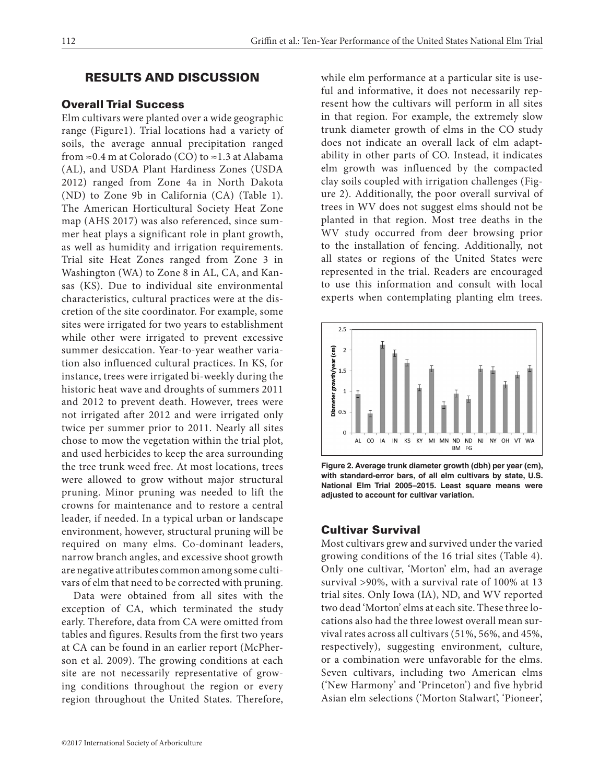# RESULTS AND DISCUSSION

# Overall Trial Success

Elm cultivars were planted over a wide geographic range (Figure1). Trial locations had a variety of soils, the average annual precipitation ranged from  $\approx$ 0.4 m at Colorado (CO) to  $\approx$ 1.3 at Alabama (AL), and USDA Plant Hardiness Zones (USDA 2012) ranged from Zone 4a in North Dakota (ND) to Zone 9b in California (CA) (Table 1). The American Horticultural Society Heat Zone map (AHS 2017) was also referenced, since summer heat plays a significant role in plant growth, as well as humidity and irrigation requirements. Trial site Heat Zones ranged from Zone 3 in Washington (WA) to Zone 8 in AL, CA, and Kansas (KS). Due to individual site environmental characteristics, cultural practices were at the discretion of the site coordinator. For example, some sites were irrigated for two years to establishment while other were irrigated to prevent excessive summer desiccation. Year-to-year weather variation also influenced cultural practices. In KS, for instance, trees were irrigated bi-weekly during the historic heat wave and droughts of summers 2011 and 2012 to prevent death. However, trees were not irrigated after 2012 and were irrigated only twice per summer prior to 2011. Nearly all sites chose to mow the vegetation within the trial plot, and used herbicides to keep the area surrounding the tree trunk weed free. At most locations, trees were allowed to grow without major structural pruning. Minor pruning was needed to lift the crowns for maintenance and to restore a central leader, if needed. In a typical urban or landscape environment, however, structural pruning will be required on many elms. Co-dominant leaders, narrow branch angles, and excessive shoot growth are negative attributes common among some cultivars of elm that need to be corrected with pruning.

Data were obtained from all sites with the exception of CA, which terminated the study early. Therefore, data from CA were omitted from tables and figures. Results from the first two years at CA can be found in an earlier report (McPherson et al. 2009). The growing conditions at each site are not necessarily representative of growing conditions throughout the region or every region throughout the United States. Therefore, while elm performance at a particular site is useful and informative, it does not necessarily represent how the cultivars will perform in all sites in that region. For example, the extremely slow trunk diameter growth of elms in the CO study does not indicate an overall lack of elm adaptability in other parts of CO. Instead, it indicates elm growth was influenced by the compacted clay soils coupled with irrigation challenges (Figure 2). Additionally, the poor overall survival of trees in WV does not suggest elms should not be planted in that region. Most tree deaths in the WV study occurred from deer browsing prior to the installation of fencing. Additionally, not all states or regions of the United States were represented in the trial. Readers are encouraged to use this information and consult with local experts when contemplating planting elm trees.



**Figure 2. Average trunk diameter growth (dbh) per year (cm), with standard-error bars, of all elm cultivars by state, U.S. National Elm Trial 2005–2015. Least square means were adjusted to account for cultivar variation.**

# Cultivar Survival

Most cultivars grew and survived under the varied growing conditions of the 16 trial sites (Table 4). Only one cultivar, 'Morton' elm, had an average survival >90%, with a survival rate of 100% at 13 trial sites. Only Iowa (IA), ND, and WV reported two dead 'Morton' elms at each site. These three locations also had the three lowest overall mean survival rates across all cultivars (51%, 56%, and 45%, respectively), suggesting environment, culture, or a combination were unfavorable for the elms. Seven cultivars, including two American elms ('New Harmony' and 'Princeton') and five hybrid Asian elm selections ('Morton Stalwart', 'Pioneer',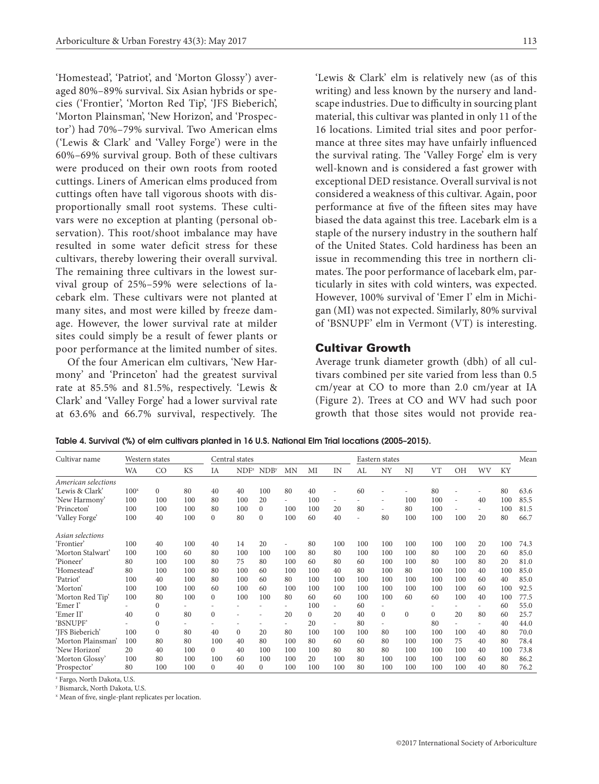'Homestead', 'Patriot', and 'Morton Glossy') averaged 80%–89% survival. Six Asian hybrids or species ('Frontier', 'Morton Red Tip', 'JFS Bieberich', 'Morton Plainsman', 'New Horizon', and 'Prospector') had 70%–79% survival. Two American elms ('Lewis & Clark' and 'Valley Forge') were in the 60%–69% survival group. Both of these cultivars were produced on their own roots from rooted cuttings. Liners of American elms produced from cuttings often have tall vigorous shoots with disproportionally small root systems. These cultivars were no exception at planting (personal observation). This root/shoot imbalance may have resulted in some water deficit stress for these cultivars, thereby lowering their overall survival. The remaining three cultivars in the lowest survival group of 25%–59% were selections of lacebark elm. These cultivars were not planted at many sites, and most were killed by freeze damage. However, the lower survival rate at milder sites could simply be a result of fewer plants or poor performance at the limited number of sites.

Of the four American elm cultivars, 'New Harmony' and 'Princeton' had the greatest survival rate at 85.5% and 81.5%, respectively. 'Lewis & Clark' and 'Valley Forge' had a lower survival rate at 63.6% and 66.7% survival, respectively. The 'Lewis & Clark' elm is relatively new (as of this writing) and less known by the nursery and landscape industries. Due to difficulty in sourcing plant material, this cultivar was planted in only 11 of the 16 locations. Limited trial sites and poor performance at three sites may have unfairly influenced the survival rating. The 'Valley Forge' elm is very well-known and is considered a fast grower with exceptional DED resistance. Overall survival is not considered a weakness of this cultivar. Again, poor performance at five of the fifteen sites may have biased the data against this tree. Lacebark elm is a staple of the nursery industry in the southern half of the United States. Cold hardiness has been an issue in recommending this tree in northern climates. The poor performance of lacebark elm, particularly in sites with cold winters, was expected. However, 100% survival of 'Emer I' elm in Michi-

#### Cultivar Growth

Average trunk diameter growth (dbh) of all cultivars combined per site varied from less than 0.5 cm/year at CO to more than 2.0 cm/year at IA (Figure 2). Trees at CO and WV had such poor growth that those sites would not provide rea-

gan (MI) was not expected. Similarly, 80% survival of 'BSNUPF' elm in Vermont (VT) is interesting.

Table 4. Survival (%) of elm cultivars planted in 16 U.S. National Elm Trial locations (2005–2015).

| Cultivar name       | Western states   |          |           | Central states |                  |                  |                          |          |                |                | Eastern states           |          |           |     |                          |     |      |  |  |
|---------------------|------------------|----------|-----------|----------------|------------------|------------------|--------------------------|----------|----------------|----------------|--------------------------|----------|-----------|-----|--------------------------|-----|------|--|--|
|                     | WA               | CO       | <b>KS</b> | IA             | NDF <sup>z</sup> | NDB <sup>y</sup> | <b>MN</b>                | MI       | IN             | AL             | NY                       | NJ       | <b>VT</b> | ΟH  | WV                       | KY  |      |  |  |
| American selections |                  |          |           |                |                  |                  |                          |          |                |                |                          |          |           |     |                          |     |      |  |  |
| 'Lewis & Clark'     | 100 <sup>x</sup> | $\Omega$ | 80        | 40             | 40               | 100              | 80                       | 40       | $\overline{a}$ | 60             |                          |          | 80        |     |                          | 80  | 63.6 |  |  |
| 'New Harmony'       | 100              | 100      | 100       | 80             | 100              | 20               | $\overline{\phantom{0}}$ | 100      | ۰              |                |                          | 100      | 100       | ٠   | 40                       | 100 | 85.5 |  |  |
| 'Princeton'         | 100              | 100      | 100       | 80             | 100              | $\Omega$         | 100                      | 100      | 20             | 80             | $\overline{\phantom{a}}$ | 80       | 100       |     | $\overline{\phantom{0}}$ | 100 | 81.5 |  |  |
| 'Valley Forge'      | 100              | 40       | 100       | $\mathbf{0}$   | 80               | $\Omega$         | 100                      | 60       | 40             | $\overline{a}$ | 80                       | 100      | 100       | 100 | 20                       | 80  | 66.7 |  |  |
| Asian selections    |                  |          |           |                |                  |                  |                          |          |                |                |                          |          |           |     |                          |     |      |  |  |
| 'Frontier'          | 100              | 40       | 100       | 40             | 14               | 20               |                          | 80       | 100            | 100            | 100                      | 100      | 100       | 100 | 20                       | 100 | 74.3 |  |  |
| 'Morton Stalwart'   | 100              | 100      | 60        | 80             | 100              | 100              | 100                      | 80       | 80             | 100            | 100                      | 100      | 80        | 100 | 20                       | 60  | 85.0 |  |  |
| 'Pioneer'           | 80               | 100      | 100       | 80             | 75               | 80               | 100                      | 60       | 80             | 60             | 100                      | 100      | 80        | 100 | 80                       | 20  | 81.0 |  |  |
| 'Homestead'         | 80               | 100      | 100       | 80             | 100              | 60               | 100                      | 100      | 40             | 80             | 100                      | 80       | 100       | 100 | 40                       | 100 | 85.0 |  |  |
| 'Patriot'           | 100              | 40       | 100       | 80             | 100              | 60               | 80                       | 100      | 100            | 100            | 100                      | 100      | 100       | 100 | 60                       | 40  | 85.0 |  |  |
| 'Morton'            | 100              | 100      | 100       | 60             | 100              | 60               | 100                      | 100      | 100            | 100            | 100                      | 100      | 100       | 100 | 60                       | 100 | 92.5 |  |  |
| 'Morton Red Tip'    | 100              | 80       | 100       | $\mathbf{0}$   | 100              | 100              | 80                       | 60       | 60             | 100            | 100                      | 60       | 60        | 100 | 40                       | 100 | 77.5 |  |  |
| 'Emer I'            |                  | $\Omega$ |           |                |                  |                  |                          | 100      | ٠              | 60             |                          |          |           |     |                          | 60  | 55.0 |  |  |
| 'Emer II'           | 40               | $\Omega$ | 80        | $\mathbf{0}$   | ٠                |                  | 20                       | $\theta$ | 20             | 40             | $\Omega$                 | $\Omega$ | $\Omega$  | 20  | 80                       | 60  | 25.7 |  |  |
| 'BSNUPF'            |                  | $\Omega$ |           |                | ٠                |                  |                          | 20       |                | 80             |                          |          | 80        |     |                          | 40  | 44.0 |  |  |
| 'IFS Bieberich'     | 100              | $\Omega$ | 80        | 40             | $\Omega$         | 20               | 80                       | 100      | 100            | 100            | 80                       | 100      | 100       | 100 | 40                       | 80  | 70.0 |  |  |
| 'Morton Plainsman'  | 100              | 80       | 80        | 100            | 40               | 80               | 100                      | 80       | 60             | 60             | 80                       | 100      | 100       | 75  | 40                       | 80  | 78.4 |  |  |
| 'New Horizon'       | 20               | 40       | 100       | $\mathbf{0}$   | 40               | 100              | 100                      | 100      | 80             | 80             | 80                       | 100      | 100       | 100 | 40                       | 100 | 73.8 |  |  |
| 'Morton Glossy'     | 100              | 80       | 100       | 100            | 60               | 100              | 100                      | 20       | 100            | 80             | 100                      | 100      | 100       | 100 | 60                       | 80  | 86.2 |  |  |
| 'Prospector'        | 80               | 100      | 100       | $\Omega$       | 40               | $\Omega$         | 100                      | 100      | 100            | 80             | 100                      | 100      | 100       | 100 | 40                       | 80  | 76.2 |  |  |

z Fargo, North Dakota, U.S.

y Bismarck, North Dakota, U.S.

x Mean of five, single-plant replicates per location.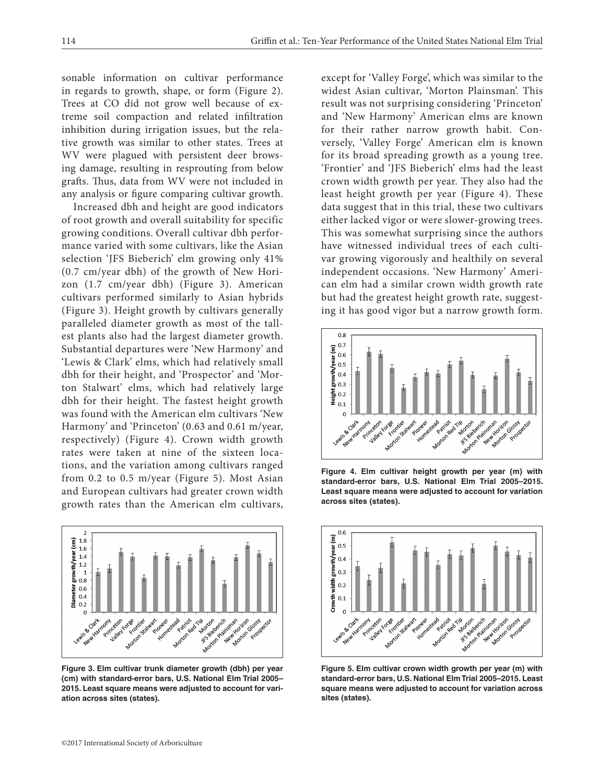sonable information on cultivar performance in regards to growth, shape, or form (Figure 2). Trees at CO did not grow well because of extreme soil compaction and related infiltration inhibition during irrigation issues, but the relative growth was similar to other states. Trees at WV were plagued with persistent deer browsing damage, resulting in resprouting from below grafts. Thus, data from WV were not included in any analysis or figure comparing cultivar growth.

Increased dbh and height are good indicators of root growth and overall suitability for specific growing conditions. Overall cultivar dbh performance varied with some cultivars, like the Asian selection 'JFS Bieberich' elm growing only 41% (0.7 cm/year dbh) of the growth of New Horizon (1.7 cm/year dbh) (Figure 3). American cultivars performed similarly to Asian hybrids (Figure 3). Height growth by cultivars generally paralleled diameter growth as most of the tallest plants also had the largest diameter growth. Substantial departures were 'New Harmony' and 'Lewis & Clark' elms, which had relatively small dbh for their height, and 'Prospector' and 'Morton Stalwart' elms, which had relatively large dbh for their height. The fastest height growth was found with the American elm cultivars 'New Harmony' and 'Princeton' (0.63 and 0.61 m/year, respectively) (Figure 4). Crown width growth rates were taken at nine of the sixteen locations, and the variation among cultivars ranged from 0.2 to 0.5 m/year (Figure 5). Most Asian and European cultivars had greater crown width growth rates than the American elm cultivars,



**Figure 3. Elm cultivar trunk diameter growth (dbh) per year (cm) with standard-error bars, U.S. National Elm Trial 2005– 2015. Least square means were adjusted to account for variation across sites (states).**

except for 'Valley Forge', which was similar to the widest Asian cultivar, 'Morton Plainsman'. This result was not surprising considering 'Princeton' and 'New Harmony' American elms are known for their rather narrow growth habit. Conversely, 'Valley Forge' American elm is known for its broad spreading growth as a young tree. 'Frontier' and 'JFS Bieberich' elms had the least crown width growth per year. They also had the least height growth per year (Figure 4). These data suggest that in this trial, these two cultivars either lacked vigor or were slower-growing trees. This was somewhat surprising since the authors have witnessed individual trees of each cultivar growing vigorously and healthily on several independent occasions. 'New Harmony' American elm had a similar crown width growth rate but had the greatest height growth rate, suggesting it has good vigor but a narrow growth form.



**Figure 4. Elm cultivar height growth per year (m) with standard-error bars, U.S. National Elm Trial 2005–2015. Least square means were adjusted to account for variation across sites (states).**



**Figure 5. Elm cultivar crown width growth per year (m) with standard-error bars, U.S. National Elm Trial 2005–2015. Least square means were adjusted to account for variation across sites (states).**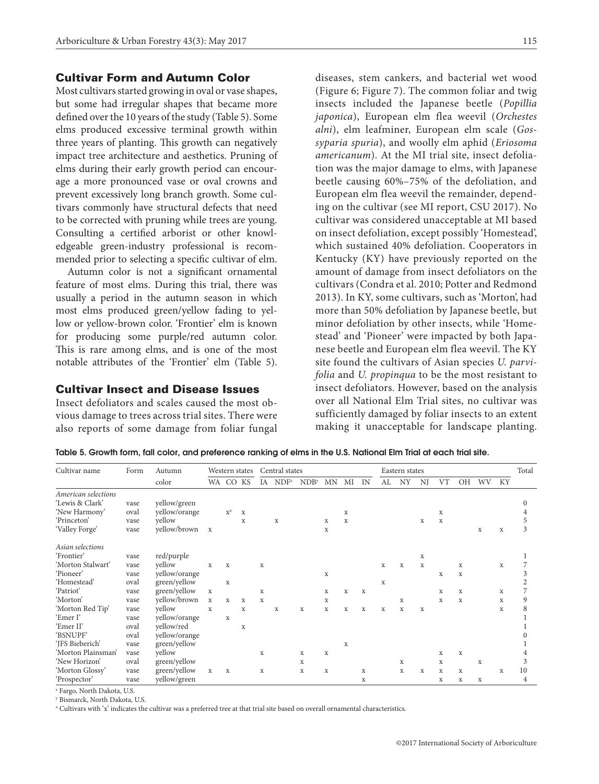## Cultivar Form and Autumn Color

Most cultivars started growing in oval or vase shapes, but some had irregular shapes that became more defined over the 10 years of the study (Table 5). Some elms produced excessive terminal growth within three years of planting. This growth can negatively impact tree architecture and aesthetics. Pruning of elms during their early growth period can encourage a more pronounced vase or oval crowns and prevent excessively long branch growth. Some cultivars commonly have structural defects that need to be corrected with pruning while trees are young. Consulting a certified arborist or other knowledgeable green-industry professional is recommended prior to selecting a specific cultivar of elm.

Autumn color is not a significant ornamental feature of most elms. During this trial, there was usually a period in the autumn season in which most elms produced green/yellow fading to yellow or yellow-brown color. 'Frontier' elm is known for producing some purple/red autumn color. This is rare among elms, and is one of the most notable attributes of the 'Frontier' elm (Table 5).

#### Cultivar Insect and Disease Issues

Insect defoliators and scales caused the most obvious damage to trees across trial sites. There were also reports of some damage from foliar fungal

diseases, stem cankers, and bacterial wet wood (Figure 6; Figure 7). The common foliar and twig insects included the Japanese beetle (*Popillia japonica*), European elm flea weevil (*Orchestes alni*), elm leafminer, European elm scale (*Gossyparia spuria*), and woolly elm aphid (*Eriosoma americanum*). At the MI trial site, insect defoliation was the major damage to elms, with Japanese beetle causing 60%–75% of the defoliation, and European elm flea weevil the remainder, depending on the cultivar (see MI report, CSU 2017). No cultivar was considered unacceptable at MI based on insect defoliation, except possibly 'Homestead', which sustained 40% defoliation. Cooperators in Kentucky (KY) have previously reported on the amount of damage from insect defoliators on the cultivars (Condra et al. 2010; Potter and Redmond 2013). In KY, some cultivars, such as 'Morton', had more than 50% defoliation by Japanese beetle, but minor defoliation by other insects, while 'Homestead' and 'Pioneer' were impacted by both Japanese beetle and European elm flea weevil. The KY site found the cultivars of Asian species *U. parvifolia* and *U. propinqua* to be the most resistant to insect defoliators. However, based on the analysis over all National Elm Trial sites, no cultivar was sufficiently damaged by foliar insects to an extent making it unacceptable for landscape planting.

Table 5. Growth form, fall color, and preference ranking of elms in the U.S. National Elm Trial at each trial site.

| Cultivar name       | Autumn<br>Western states |               |              |                                        | Central states |             |                     |                  |             |             | Eastern states |             |             |             |             |             |             | Total       |    |
|---------------------|--------------------------|---------------|--------------|----------------------------------------|----------------|-------------|---------------------|------------------|-------------|-------------|----------------|-------------|-------------|-------------|-------------|-------------|-------------|-------------|----|
|                     |                          | color         |              | WA CO KS                               |                |             | IA NDF <sup>z</sup> | NDB <sup>y</sup> | MN          | МI          | IN             | AL          | NY          | NJ          | VT          | <b>OH</b>   | <b>WV</b>   | KY          |    |
| American selections |                          |               |              |                                        |                |             |                     |                  |             |             |                |             |             |             |             |             |             |             |    |
| 'Lewis & Clark'     | vase                     | yellow/green  |              |                                        |                |             |                     |                  |             |             |                |             |             |             |             |             |             |             |    |
| 'New Harmony'       | oval                     | yellow/orange |              | $\mathbf{X}^{\textnormal{\textbf{X}}}$ | X              |             |                     |                  |             | X           |                |             |             |             | X           |             |             |             |    |
| 'Princeton'         | vase                     | yellow        |              |                                        | X              |             | X                   |                  | X           | X           |                |             |             | X           | X           |             |             |             | 5  |
| 'Valley Forge'      | vase                     | yellow/brown  | $\mathbf{x}$ |                                        |                |             |                     |                  | $\mathbf X$ |             |                |             |             |             |             |             | X           | $\mathbf X$ | 3  |
| Asian selections    |                          |               |              |                                        |                |             |                     |                  |             |             |                |             |             |             |             |             |             |             |    |
| 'Frontier'          | vase                     | red/purple    |              |                                        |                |             |                     |                  |             |             |                |             |             | X           |             |             |             |             |    |
| 'Morton Stalwart'   | vase                     | yellow        | X            | $\mathbf x$                            |                | X           |                     |                  |             |             |                | X           | $\mathbf x$ | $\mathbf X$ |             | X           |             | X           |    |
| 'Pioneer'           | vase                     | yellow/orange |              |                                        |                |             |                     |                  | $\mathbf X$ |             |                |             |             |             | X           | $\mathbf x$ |             |             |    |
| 'Homestead'         | oval                     | green/yellow  |              | X                                      |                |             |                     |                  |             |             |                | X           |             |             |             |             |             |             |    |
| 'Patriot'           | vase                     | green/yellow  | $\mathbf X$  |                                        |                | $\mathbf x$ |                     |                  | X           | $\mathbf x$ | $\mathbf x$    |             |             |             | X           | $\mathbf x$ |             | X           |    |
| 'Morton'            | vase                     | yellow/brown  | $\mathbf X$  | $\mathbf x$                            | $\mathbf x$    | $\mathbf x$ |                     |                  | $\mathbf X$ |             |                |             | $\mathbf X$ |             | $\mathbf x$ | $\mathbf x$ |             | $\mathbf x$ | 9  |
| 'Morton Red Tip'    | vase                     | yellow        | X            |                                        | $\mathbf x$    |             | X                   | X                | $\mathbf x$ | $\mathbf x$ | X              | $\mathbf x$ | $\mathbf x$ | X           |             |             |             | X           | 8  |
| 'Emer I'            | vase                     | yellow/orange |              | $\mathbf x$                            |                |             |                     |                  |             |             |                |             |             |             |             |             |             |             |    |
| 'Emer II'           | oval                     | yellow/red    |              |                                        | $\mathbf x$    |             |                     |                  |             |             |                |             |             |             |             |             |             |             |    |
| 'BSNUPF'            | oval                     | yellow/orange |              |                                        |                |             |                     |                  |             |             |                |             |             |             |             |             |             |             |    |
| 'JFS Bieberich'     | vase                     | green/yellow  |              |                                        |                |             |                     |                  |             | X           |                |             |             |             |             |             |             |             |    |
| 'Morton Plainsman'  | vase                     | yellow        |              |                                        |                | X           |                     | X                | $\mathbf X$ |             |                |             |             |             | X           | $\mathbf X$ |             |             |    |
| 'New Horizon'       | oval                     | green/yellow  |              |                                        |                |             |                     | X                |             |             |                |             | X           |             | X           |             | X           |             | 3  |
| 'Morton Glossy'     | vase                     | green/yellow  | $\mathbf X$  | $\mathbf X$                            |                | $\mathbf X$ |                     | X                | $\mathbf X$ |             | $\mathbf X$    |             | X           | X           | $\mathbf x$ | X           |             | $\mathbf X$ | 10 |
| 'Prospector'        | vase                     | yellow/green  |              |                                        |                |             |                     |                  |             |             | X              |             |             |             | X           | X           | $\mathbf X$ |             | 4  |

z Fargo, North Dakota, U.S.

y Bismarck, North Dakota, U.S.

x Cultivars with 'x' indicates the cultivar was a preferred tree at that trial site based on overall ornamental characteristics.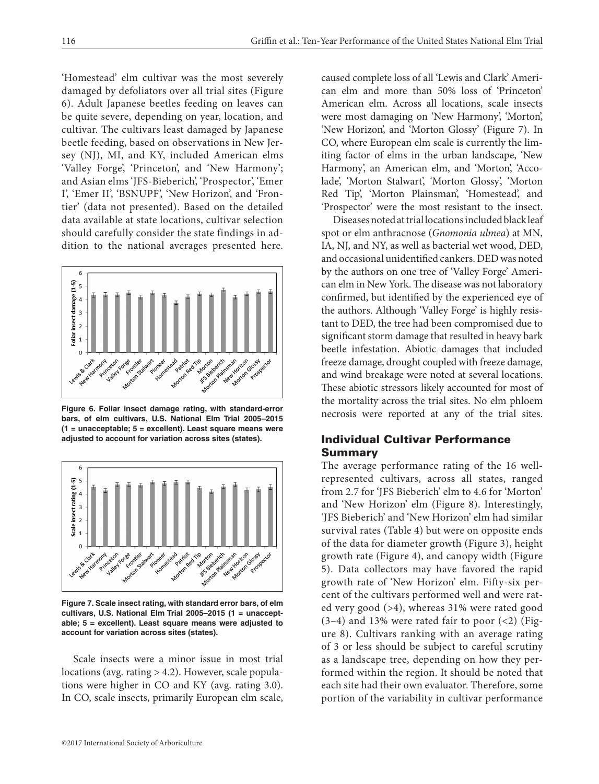'Homestead' elm cultivar was the most severely damaged by defoliators over all trial sites (Figure 6). Adult Japanese beetles feeding on leaves can be quite severe, depending on year, location, and cultivar. The cultivars least damaged by Japanese beetle feeding, based on observations in New Jersey (NJ), MI, and KY, included American elms 'Valley Forge', 'Princeton', and 'New Harmony'; and Asian elms 'JFS-Bieberich', 'Prospector', 'Emer I', 'Emer II', 'BSNUPF', 'New Horizon', and 'Frontier' (data not presented). Based on the detailed data available at state locations, cultivar selection should carefully consider the state findings in addition to the national averages presented here.



**Figure 6. Foliar insect damage rating, with standard-error bars, of elm cultivars, U.S. National Elm Trial 2005–2015 (1 = unacceptable; 5 = excellent). Least square means were adjusted to account for variation across sites (states).**



**Figure 7. Scale insect rating, with standard error bars, of elm cultivars, U.S. National Elm Trial 2005–2015 (1 = unacceptable; 5 = excellent). Least square means were adjusted to account for variation across sites (states).**

Scale insects were a minor issue in most trial locations (avg. rating > 4.2). However, scale populations were higher in CO and KY (avg. rating 3.0). In CO, scale insects, primarily European elm scale,

caused complete loss of all 'Lewis and Clark' American elm and more than 50% loss of 'Princeton' American elm. Across all locations, scale insects were most damaging on 'New Harmony', 'Morton', 'New Horizon', and 'Morton Glossy' (Figure 7). In CO, where European elm scale is currently the limiting factor of elms in the urban landscape, 'New Harmony', an American elm, and 'Morton', 'Accolade', 'Morton Stalwart', 'Morton Glossy', 'Morton Red Tip', 'Morton Plainsman', 'Homestead', and 'Prospector' were the most resistant to the insect.

Diseases noted at trial locations included black leaf spot or elm anthracnose (*Gnomonia ulmea*) at MN, IA, NI, and NY, as well as bacterial wet wood, DED, and occasional unidentified cankers. DED was noted by the authors on one tree of 'Valley Forge' American elm in New York. The disease was not laboratory confirmed, but identified by the experienced eye of the authors. Although 'Valley Forge' is highly resistant to DED, the tree had been compromised due to significant storm damage that resulted in heavy bark beetle infestation. Abiotic damages that included freeze damage, drought coupled with freeze damage, and wind breakage were noted at several locations. These abiotic stressors likely accounted for most of the mortality across the trial sites. No elm phloem necrosis were reported at any of the trial sites.

# Individual Cultivar Performance Summary

The average performance rating of the 16 wellrepresented cultivars, across all states, ranged from 2.7 for 'JFS Bieberich' elm to 4.6 for 'Morton' and 'New Horizon' elm (Figure 8). Interestingly, 'JFS Bieberich' and 'New Horizon' elm had similar survival rates (Table 4) but were on opposite ends of the data for diameter growth (Figure 3), height growth rate (Figure 4), and canopy width (Figure 5). Data collectors may have favored the rapid growth rate of 'New Horizon' elm. Fifty-six percent of the cultivars performed well and were rated very good (>4), whereas 31% were rated good  $(3-4)$  and 13% were rated fair to poor  $(2)$  (Figure 8). Cultivars ranking with an average rating of 3 or less should be subject to careful scrutiny as a landscape tree, depending on how they performed within the region. It should be noted that each site had their own evaluator. Therefore, some portion of the variability in cultivar performance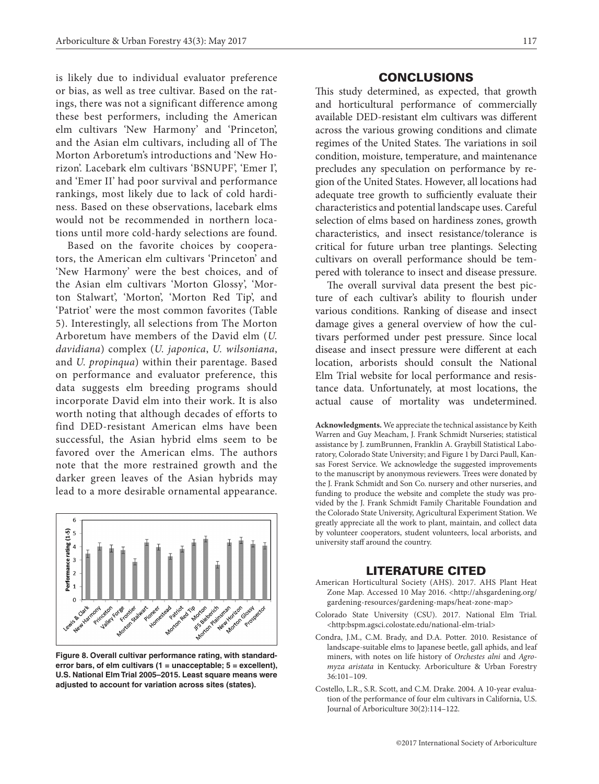is likely due to individual evaluator preference or bias, as well as tree cultivar. Based on the ratings, there was not a significant difference among these best performers, including the American elm cultivars 'New Harmony' and 'Princeton', and the Asian elm cultivars, including all of The Morton Arboretum's introductions and 'New Horizon'. Lacebark elm cultivars 'BSNUPF', 'Emer I', and 'Emer II' had poor survival and performance rankings, most likely due to lack of cold hardiness. Based on these observations, lacebark elms would not be recommended in northern locations until more cold-hardy selections are found.

Based on the favorite choices by cooperators, the American elm cultivars 'Princeton' and 'New Harmony' were the best choices, and of the Asian elm cultivars 'Morton Glossy', 'Morton Stalwart', 'Morton', 'Morton Red Tip', and 'Patriot' were the most common favorites (Table 5). Interestingly, all selections from The Morton Arboretum have members of the David elm (*U. davidiana*) complex (*U. japonica*, *U. wilsoniana*, and *U. propinqua*) within their parentage. Based on performance and evaluator preference, this data suggests elm breeding programs should incorporate David elm into their work. It is also worth noting that although decades of efforts to find DED-resistant American elms have been successful, the Asian hybrid elms seem to be favored over the American elms. The authors note that the more restrained growth and the darker green leaves of the Asian hybrids may lead to a more desirable ornamental appearance.



**Figure 8. Overall cultivar performance rating, with standarderror bars, of elm cultivars (1 = unacceptable; 5 = excellent), U.S. National Elm Trial 2005–2015. Least square means were adjusted to account for variation across sites (states).**

## **CONCLUSIONS**

This study determined, as expected, that growth and horticultural performance of commercially available DED-resistant elm cultivars was different across the various growing conditions and climate regimes of the United States. The variations in soil condition, moisture, temperature, and maintenance precludes any speculation on performance by region of the United States. However, all locations had adequate tree growth to sufficiently evaluate their characteristics and potential landscape uses. Careful selection of elms based on hardiness zones, growth characteristics, and insect resistance/tolerance is critical for future urban tree plantings. Selecting cultivars on overall performance should be tempered with tolerance to insect and disease pressure.

The overall survival data present the best picture of each cultivar's ability to flourish under various conditions. Ranking of disease and insect damage gives a general overview of how the cultivars performed under pest pressure. Since local disease and insect pressure were different at each location, arborists should consult the National Elm Trial website for local performance and resistance data. Unfortunately, at most locations, the actual cause of mortality was undetermined.

**Acknowledgments.** We appreciate the technical assistance by Keith Warren and Guy Meacham, J. Frank Schmidt Nurseries; statistical assistance by J. zumBrunnen, Franklin A. Graybill Statistical Laboratory, Colorado State University; and Figure 1 by Darci Paull, Kansas Forest Service. We acknowledge the suggested improvements to the manuscript by anonymous reviewers. Trees were donated by the J. Frank Schmidt and Son Co. nursery and other nurseries, and funding to produce the website and complete the study was provided by the J. Frank Schmidt Family Charitable Foundation and the Colorado State University, Agricultural Experiment Station. We greatly appreciate all the work to plant, maintain, and collect data by volunteer cooperators, student volunteers, local arborists, and university staff around the country.

#### LITERATURE CITED

- American Horticultural Society (AHS). 2017. AHS Plant Heat Zone Map. Accessed 10 May 2016. <http://ahsgardening.org/ gardening-resources/gardening-maps/heat-zone-map>
- Colorado State University (CSU). 2017. National Elm Trial. <http:bspm.agsci.colostate.edu/national-elm-trial>
- Condra, J.M., C.M. Brady, and D.A. Potter. 2010. Resistance of landscape-suitable elms to Japanese beetle, gall aphids, and leaf miners, with notes on life history of *Orchestes alni* and *Agromyza aristata* in Kentucky. Arboriculture & Urban Forestry 36:101–109.
- Costello, L.R., S.R. Scott, and C.M. Drake. 2004. A 10-year evaluation of the performance of four elm cultivars in California, U.S. Journal of Arboriculture 30(2):114–122.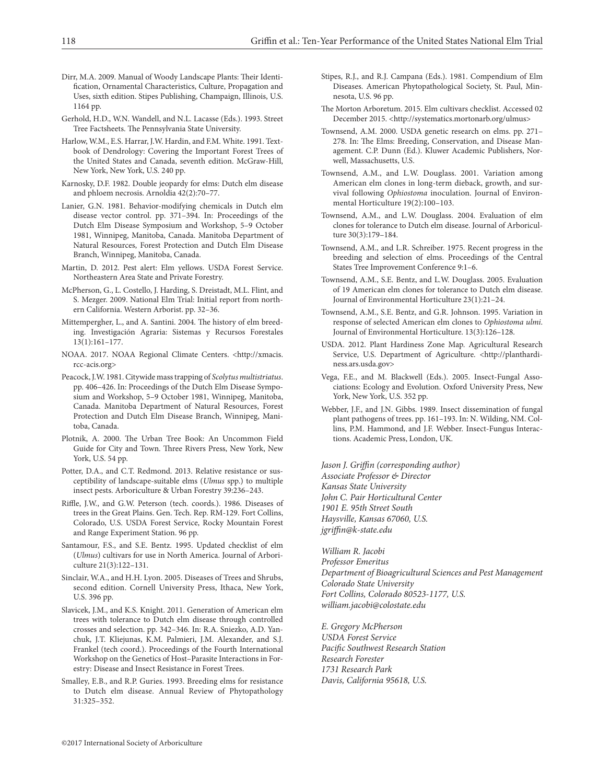- Dirr, M.A. 2009. Manual of Woody Landscape Plants: Their Identification, Ornamental Characteristics, Culture, Propagation and Uses, sixth edition. Stipes Publishing, Champaign, Illinois, U.S. 1164 pp.
- Gerhold, H.D., W.N. Wandell, and N.L. Lacasse (Eds.). 1993. Street Tree Factsheets. The Pennsylvania State University.
- Harlow, W.M., E.S. Harrar, J.W. Hardin, and F.M. White. 1991. Textbook of Dendrology: Covering the Important Forest Trees of the United States and Canada, seventh edition. McGraw-Hill, New York, New York, U.S. 240 pp.
- Karnosky, D.F. 1982. Double jeopardy for elms: Dutch elm disease and phloem necrosis. Arnoldia 42(2):70–77.
- Lanier, G.N. 1981. Behavior-modifying chemicals in Dutch elm disease vector control. pp. 371–394. In: Proceedings of the Dutch Elm Disease Symposium and Workshop, 5–9 October 1981, Winnipeg, Manitoba, Canada. Manitoba Department of Natural Resources, Forest Protection and Dutch Elm Disease Branch, Winnipeg, Manitoba, Canada.
- Martin, D. 2012. Pest alert: Elm yellows. USDA Forest Service. Northeastern Area State and Private Forestry.
- McPherson, G., L. Costello, J. Harding, S. Dreistadt, M.L. Flint, and S. Mezger. 2009. National Elm Trial: Initial report from northern California. Western Arborist. pp. 32–36.
- Mittempergher, L., and A. Santini. 2004. The history of elm breeding. Investigación Agraria: Sistemas y Recursos Forestales 13(1):161–177.
- NOAA. 2017. NOAA Regional Climate Centers. <http://xmacis. rcc-acis.org>
- Peacock, J.W. 1981. Citywide mass trapping of *Scolytus multistriatus*. pp. 406–426. In: Proceedings of the Dutch Elm Disease Symposium and Workshop, 5–9 October 1981, Winnipeg, Manitoba, Canada. Manitoba Department of Natural Resources, Forest Protection and Dutch Elm Disease Branch, Winnipeg, Manitoba, Canada.
- Plotnik, A. 2000. The Urban Tree Book: An Uncommon Field Guide for City and Town. Three Rivers Press, New York, New York, U.S. 54 pp.
- Potter, D.A., and C.T. Redmond. 2013. Relative resistance or susceptibility of landscape-suitable elms (*Ulmus* spp.) to multiple insect pests. Arboriculture & Urban Forestry 39:236–243.
- Riffle, J.W., and G.W. Peterson (tech. coords.). 1986. Diseases of trees in the Great Plains. Gen. Tech. Rep. RM-129. Fort Collins, Colorado, U.S. USDA Forest Service, Rocky Mountain Forest and Range Experiment Station. 96 pp.
- Santamour, F.S., and S.E. Bentz. 1995. Updated checklist of elm (*Ulmus*) cultivars for use in North America. Journal of Arboriculture 21(3):122–131.
- Sinclair, W.A., and H.H. Lyon. 2005. Diseases of Trees and Shrubs, second edition. Cornell University Press, Ithaca, New York, U.S. 396 pp.
- Slavicek, J.M., and K.S. Knight. 2011. Generation of American elm trees with tolerance to Dutch elm disease through controlled crosses and selection. pp. 342–346. In: R.A. Sniezko, A.D. Yanchuk, J.T. Kliejunas, K.M. Palmieri, J.M. Alexander, and S.J. Frankel (tech coord.). Proceedings of the Fourth International Workshop on the Genetics of Host–Parasite Interactions in Forestry: Disease and Insect Resistance in Forest Trees.
- Smalley, E.B., and R.P. Guries. 1993. Breeding elms for resistance to Dutch elm disease. Annual Review of Phytopathology 31:325–352.
- Stipes, R.J., and R.J. Campana (Eds.). 1981. Compendium of Elm Diseases. American Phytopathological Society, St. Paul, Minnesota, U.S. 96 pp.
- The Morton Arboretum. 2015. Elm cultivars checklist. Accessed 02 December 2015. <http://systematics.mortonarb.org/ulmus>
- Townsend, A.M. 2000. USDA genetic research on elms. pp. 271– 278. In: The Elms: Breeding, Conservation, and Disease Management. C.P. Dunn (Ed.). Kluwer Academic Publishers, Norwell, Massachusetts, U.S.
- Townsend, A.M., and L.W. Douglass. 2001. Variation among American elm clones in long-term dieback, growth, and survival following *Ophiostoma* inoculation. Journal of Environmental Horticulture 19(2):100–103.
- Townsend, A.M., and L.W. Douglass. 2004. Evaluation of elm clones for tolerance to Dutch elm disease. Journal of Arboriculture 30(3):179–184.
- Townsend, A.M., and L.R. Schreiber. 1975. Recent progress in the breeding and selection of elms. Proceedings of the Central States Tree Improvement Conference 9:1–6.
- Townsend, A.M., S.E. Bentz, and L.W. Douglass. 2005. Evaluation of 19 American elm clones for tolerance to Dutch elm disease. Journal of Environmental Horticulture 23(1):21–24.
- Townsend, A.M., S.E. Bentz, and G.R. Johnson. 1995. Variation in response of selected American elm clones to *Ophiostoma ulmi*. Journal of Environmental Horticulture. 13(3):126–128.
- USDA. 2012. Plant Hardiness Zone Map. Agricultural Research Service, U.S. Department of Agriculture. <http://planthardiness.ars.usda.gov>
- Vega, F.E., and M. Blackwell (Eds.). 2005. Insect-Fungal Associations: Ecology and Evolution. Oxford University Press, New York, New York, U.S. 352 pp.
- Webber, J.F., and J.N. Gibbs. 1989. Insect dissemination of fungal plant pathogens of trees. pp. 161–193. In: N. Wilding, NM. Collins, P.M. Hammond, and J.F. Webber. Insect-Fungus Interactions. Academic Press, London, UK.

*Jason J. Griffin (corresponding author) Associate Professor & Director Kansas State University John C. Pair Horticultural Center 1901 E. 95th Street South Haysville, Kansas 67060, U.S. jgriffin@k-state.edu*

*William R. Jacobi Professor Emeritus Department of Bioagricultural Sciences and Pest Management Colorado State University Fort Collins, Colorado 80523-1177, U.S. william.jacobi@colostate.edu*

*E. Gregory McPherson USDA Forest Service Pacific Southwest Research Station Research Forester 1731 Research Park Davis, California 95618, U.S.*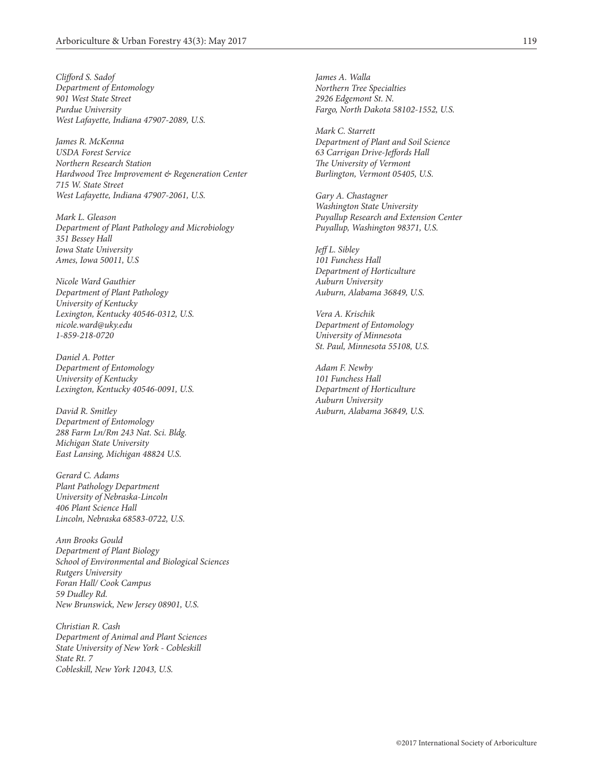*Clifford S. Sadof Department of Entomology 901 West State Street Purdue University West Lafayette, Indiana 47907-2089, U.S.*

*James R. McKenna USDA Forest Service Northern Research Station Hardwood Tree Improvement & Regeneration Center 715 W. State Street West Lafayette, Indiana 47907-2061, U.S.*

*Mark L. Gleason Department of Plant Pathology and Microbiology 351 Bessey Hall Iowa State University Ames, Iowa 50011, U.S*

*Nicole Ward Gauthier Department of Plant Pathology University of Kentucky Lexington, Kentucky 40546-0312, U.S. nicole.ward@uky.edu 1-859-218-0720*

*Daniel A. Potter Department of Entomology University of Kentucky Lexington, Kentucky 40546-0091, U.S.*

*David R. Smitley Department of Entomology 288 Farm Ln/Rm 243 Nat. Sci. Bldg. Michigan State University East Lansing, Michigan 48824 U.S.*

*Gerard C. Adams Plant Pathology Department University of Nebraska-Lincoln 406 Plant Science Hall Lincoln, Nebraska 68583-0722, U.S.*

*Ann Brooks Gould Department of Plant Biology School of Environmental and Biological Sciences Rutgers University Foran Hall/ Cook Campus 59 Dudley Rd. New Brunswick, New Jersey 08901, U.S.*

*Christian R. Cash Department of Animal and Plant Sciences State University of New York - Cobleskill State Rt. 7 Cobleskill, New York 12043, U.S.*

*James A. Walla Northern Tree Specialties 2926 Edgemont St. N. Fargo, North Dakota 58102-1552, U.S.*

*Mark C. Starrett Department of Plant and Soil Science 63 Carrigan Drive-Jeffords Hall The University of Vermont Burlington, Vermont 05405, U.S.*

*Gary A. Chastagner Washington State University Puyallup Research and Extension Center Puyallup, Washington 98371, U.S.*

*Jeff L. Sibley 101 Funchess Hall Department of Horticulture Auburn University Auburn, Alabama 36849, U.S.*

*Vera A. Krischik Department of Entomology University of Minnesota St. Paul, Minnesota 55108, U.S.*

*Adam F. Newby 101 Funchess Hall Department of Horticulture Auburn University Auburn, Alabama 36849, U.S.*